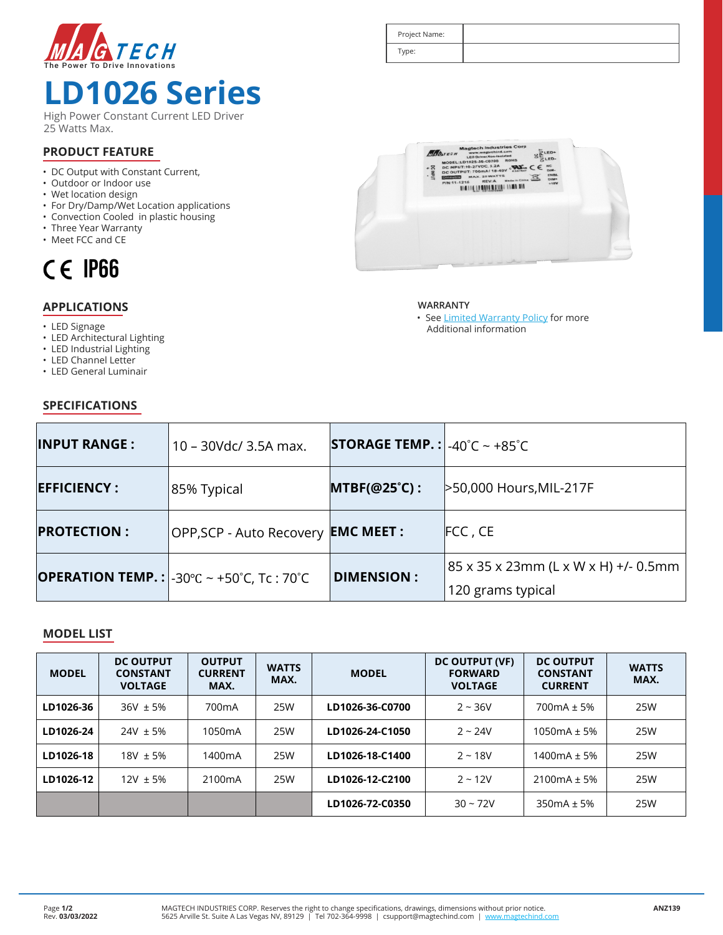

## **LD1026 Series**

High Power Constant Current LED Driver 25 Watts Max.

### **PRODUCT FEATURE**

- DC Output with Constant Current,
- Outdoor or Indoor use
- Wet location design
- For Dry/Damp/Wet Location applications
- Convection Cooled in plastic housing
- Three Year Warranty
- Meet FCC and CE



### **APPLICATIONS**

- LED Signage
- LED Architectural Lighting
- LED Industrial Lighting
- LED Channel Letter

**SPECIFICATIONS**

• LED General Luminair

# $c \in \mathbb{R}$  $.25$

DE DE LA BIBLETTA DI DIER BIB



Project Name: Type:

> • See Limited Warranty Policy for more Additional information

| <b>INPUT RANGE:</b> | 10 - 30Vdc/ 3.5A max.                                                                           | <b>STORAGE TEMP. :</b> $-40^{\circ}$ C ~ $+85^{\circ}$ C |                                                             |  |  |
|---------------------|-------------------------------------------------------------------------------------------------|----------------------------------------------------------|-------------------------------------------------------------|--|--|
| <b>EFFICIENCY:</b>  | $MTBF(@25^{\circ}C)$ :<br>85% Typical                                                           |                                                          | >50,000 Hours, MIL-217F                                     |  |  |
| <b>PROTECTION:</b>  | OPP, SCP - Auto Recovery                                                                        | <b>EMC MEET :</b>                                        | FCC, CE                                                     |  |  |
|                     | <b>OPERATION TEMP.:</b> $\left[-30^{\circ}\text{C} \right] \sim +50^{\circ}\text{C}$ , Tc: 70°C | <b>DIMENSION:</b>                                        | 85 x 35 x 23mm (L x W x H) +/- 0.5mm  <br>120 grams typical |  |  |

#### **MODEL LIST**

| <b>MODEL</b> | <b>DC OUTPUT</b><br><b>CONSTANT</b><br><b>VOLTAGE</b> | <b>OUTPUT</b><br><b>CURRENT</b><br>MAX. | <b>WATTS</b><br>MAX. | <b>MODEL</b>    | DC OUTPUT (VF)<br><b>FORWARD</b><br><b>VOLTAGE</b> | <b>DC OUTPUT</b><br><b>CONSTANT</b><br><b>CURRENT</b> | <b>WATTS</b><br>MAX. |
|--------------|-------------------------------------------------------|-----------------------------------------|----------------------|-----------------|----------------------------------------------------|-------------------------------------------------------|----------------------|
| LD1026-36    | $36V \pm 5%$                                          | 700 <sub>m</sub> A                      | 25W                  | LD1026-36-C0700 | $2 - 36V$                                          | $700mA + 5%$                                          | 25W                  |
| LD1026-24    | $24V \pm 5%$                                          | 1050 <sub>m</sub> A                     | 25W                  | LD1026-24-C1050 | $2 - 24V$                                          | $1050mA + 5%$                                         | 25W                  |
| LD1026-18    | $18V \pm 5%$                                          | 1400 <sub>m</sub> A                     | 25W                  | LD1026-18-C1400 | $2 - 18V$                                          | $1400mA + 5%$                                         | 25W                  |
| LD1026-12    | $12V \pm 5%$                                          | 2100 <sub>m</sub> A                     | 25W                  | LD1026-12-C2100 | $2 - 12V$                                          | $2100mA \pm 5%$                                       | 25W                  |
|              |                                                       |                                         |                      | LD1026-72-C0350 | $30 - 72V$                                         | $350mA + 5%$                                          | 25W                  |